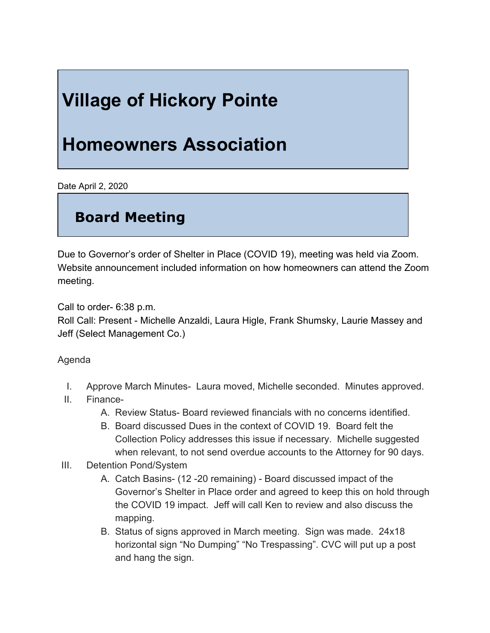# **Village of Hickory Pointe**

## **Homeowners Association**

Date April 2, 2020

### **Board Meeting**

Due to Governor's order of Shelter in Place (COVID 19), meeting was held via Zoom. Website announcement included information on how homeowners can attend the Zoom meeting.

Call to order- 6:38 p.m.

Roll Call: Present - Michelle Anzaldi, Laura Higle, Frank Shumsky, Laurie Massey and Jeff (Select Management Co.)

#### Agenda

- I. Approve March Minutes- Laura moved, Michelle seconded. Minutes approved.
- II. Finance-
	- A. Review Status- Board reviewed financials with no concerns identified.
	- B. Board discussed Dues in the context of COVID 19. Board felt the Collection Policy addresses this issue if necessary. Michelle suggested when relevant, to not send overdue accounts to the Attorney for 90 days.
- III. Detention Pond/System
	- A. Catch Basins- (12 -20 remaining) Board discussed impact of the Governor's Shelter in Place order and agreed to keep this on hold through the COVID 19 impact. Jeff will call Ken to review and also discuss the mapping.
	- B. Status of signs approved in March meeting. Sign was made. 24x18 horizontal sign "No Dumping" "No Trespassing". CVC will put up a post and hang the sign.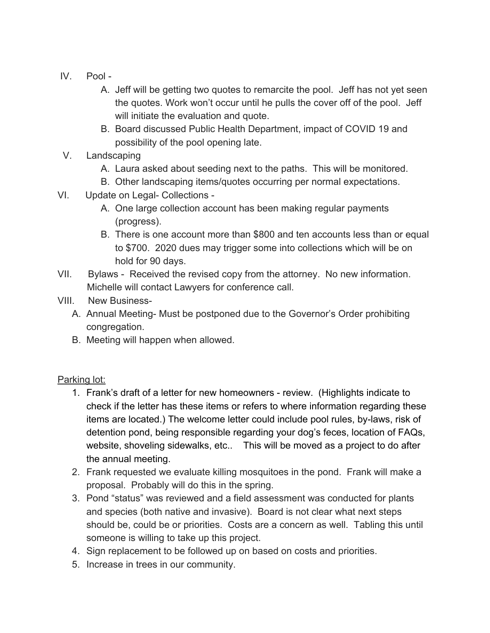- IV. Pool
	- A. Jeff will be getting two quotes to remarcite the pool. Jeff has not yet seen the quotes. Work won't occur until he pulls the cover off of the pool. Jeff will initiate the evaluation and quote.
	- B. Board discussed Public Health Department, impact of COVID 19 and possibility of the pool opening late.
- V. Landscaping
	- A. Laura asked about seeding next to the paths. This will be monitored.
	- B. Other landscaping items/quotes occurring per normal expectations.
- VI. Update on Legal- Collections
	- A. One large collection account has been making regular payments (progress).
	- B. There is one account more than \$800 and ten accounts less than or equal to \$700. 2020 dues may trigger some into collections which will be on hold for 90 days.
- VII. Bylaws Received the revised copy from the attorney. No new information. Michelle will contact Lawyers for conference call.
- VIII. New Business-
	- A. Annual Meeting- Must be postponed due to the Governor's Order prohibiting congregation.
	- B. Meeting will happen when allowed.

### Parking lot:

- 1. Frank's draft of a letter for new homeowners review. (Highlights indicate to check if the letter has these items or refers to where information regarding these items are located.) The welcome letter could include pool rules, by-laws, risk of detention pond, being responsible regarding your dog's feces, location of FAQs, website, shoveling sidewalks, etc.. This will be moved as a project to do after the annual meeting.
- 2. Frank requested we evaluate killing mosquitoes in the pond. Frank will make a proposal. Probably will do this in the spring.
- 3. Pond "status" was reviewed and a field assessment was conducted for plants and species (both native and invasive). Board is not clear what next steps should be, could be or priorities. Costs are a concern as well. Tabling this until someone is willing to take up this project.
- 4. Sign replacement to be followed up on based on costs and priorities.
- 5. Increase in trees in our community.